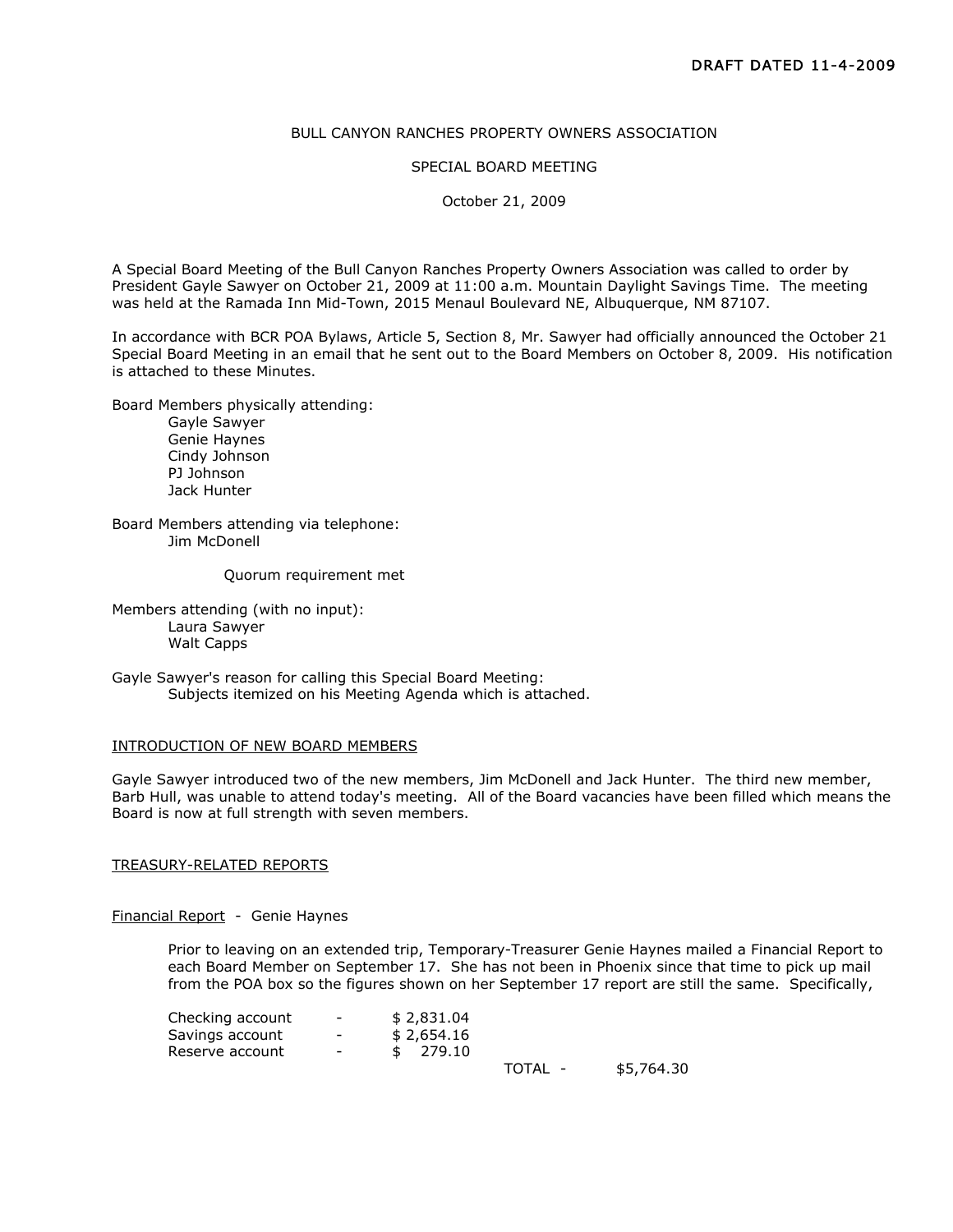# BULL CANYON RANCHES PROPERTY OWNERS ASSOCIATION

#### SPECIAL BOARD MEETING

October 21, 2009

A Special Board Meeting of the Bull Canyon Ranches Property Owners Association was called to order by President Gayle Sawyer on October 21, 2009 at 11:00 a.m. Mountain Daylight Savings Time. The meeting was held at the Ramada Inn Mid-Town, 2015 Menaul Boulevard NE, Albuquerque, NM 87107.

In accordance with BCR POA Bylaws, Article 5, Section 8, Mr. Sawyer had officially announced the October 21 Special Board Meeting in an email that he sent out to the Board Members on October 8, 2009. His notification is attached to these Minutes.

Board Members physically attending:

Gayle Sawyer Genie Haynes Cindy Johnson PJ Johnson Jack Hunter

Board Members attending via telephone: Jim McDonell

Quorum requirement met

Members attending (with no input): Laura Sawyer Walt Capps

Gayle Sawyer's reason for calling this Special Board Meeting: Subjects itemized on his Meeting Agenda which is attached.

### INTRODUCTION OF NEW BOARD MEMBERS

Gayle Sawyer introduced two of the new members, Jim McDonell and Jack Hunter. The third new member, Barb Hull, was unable to attend today's meeting. All of the Board vacancies have been filled which means the Board is now at full strength with seven members.

### TREASURY-RELATED REPORTS

Financial Report - Genie Haynes

Prior to leaving on an extended trip, Temporary-Treasurer Genie Haynes mailed a Financial Report to each Board Member on September 17. She has not been in Phoenix since that time to pick up mail from the POA box so the figures shown on her September 17 report are still the same. Specifically,

| Checking account | $\overline{\phantom{a}}$ | \$2,831.04 |         |            |
|------------------|--------------------------|------------|---------|------------|
| Savings account  | $\overline{\phantom{0}}$ | \$2,654.16 |         |            |
| Reserve account  | $\overline{\phantom{0}}$ | 279.10     |         |            |
|                  |                          |            | TOTAL - | \$5,764.30 |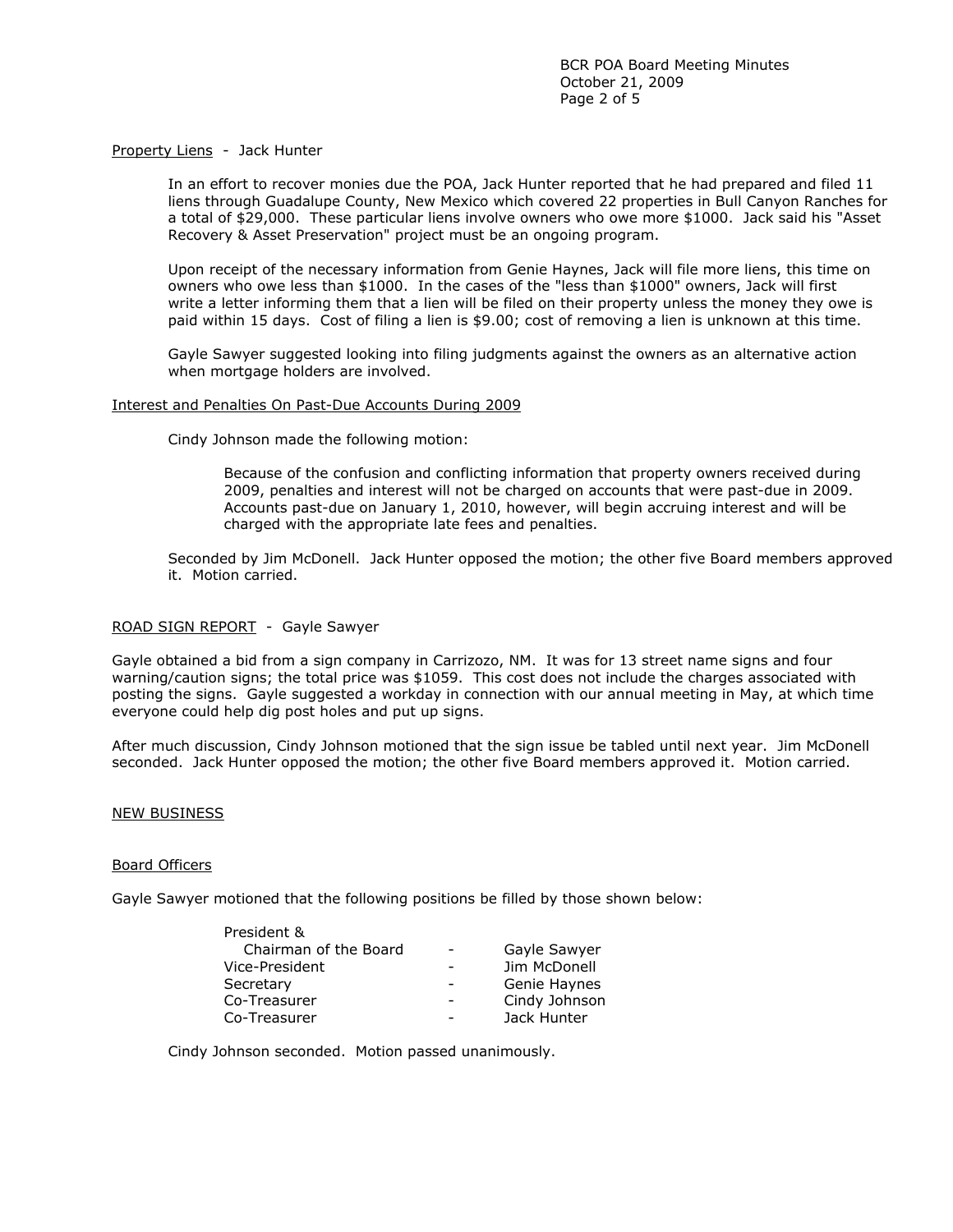# Property Liens - Jack Hunter

In an effort to recover monies due the POA, Jack Hunter reported that he had prepared and filed 11 liens through Guadalupe County, New Mexico which covered 22 properties in Bull Canyon Ranches for a total of \$29,000. These particular liens involve owners who owe more \$1000. Jack said his "Asset Recovery & Asset Preservation" project must be an ongoing program.

Upon receipt of the necessary information from Genie Haynes, Jack will file more liens, this time on owners who owe less than \$1000. In the cases of the "less than \$1000" owners, Jack will first write a letter informing them that a lien will be filed on their property unless the money they owe is paid within 15 days. Cost of filing a lien is \$9.00; cost of removing a lien is unknown at this time.

Gayle Sawyer suggested looking into filing judgments against the owners as an alternative action when mortgage holders are involved.

# Interest and Penalties On Past-Due Accounts During 2009

Cindy Johnson made the following motion:

Because of the confusion and conflicting information that property owners received during 2009, penalties and interest will not be charged on accounts that were past-due in 2009. Accounts past-due on January 1, 2010, however, will begin accruing interest and will be charged with the appropriate late fees and penalties.

Seconded by Jim McDonell. Jack Hunter opposed the motion; the other five Board members approved it. Motion carried.

# ROAD SIGN REPORT - Gayle Sawyer

Gayle obtained a bid from a sign company in Carrizozo, NM. It was for 13 street name signs and four warning/caution signs; the total price was \$1059. This cost does not include the charges associated with posting the signs. Gayle suggested a workday in connection with our annual meeting in May, at which time everyone could help dig post holes and put up signs.

After much discussion, Cindy Johnson motioned that the sign issue be tabled until next year. Jim McDonell seconded. Jack Hunter opposed the motion; the other five Board members approved it. Motion carried.

# NEW BUSINESS

# Board Officers

Gayle Sawyer motioned that the following positions be filled by those shown below:

| Gayle Sawyer  |
|---------------|
| Jim McDonell  |
| Genie Haynes  |
| Cindy Johnson |
| Jack Hunter   |
|               |

Cindy Johnson seconded. Motion passed unanimously.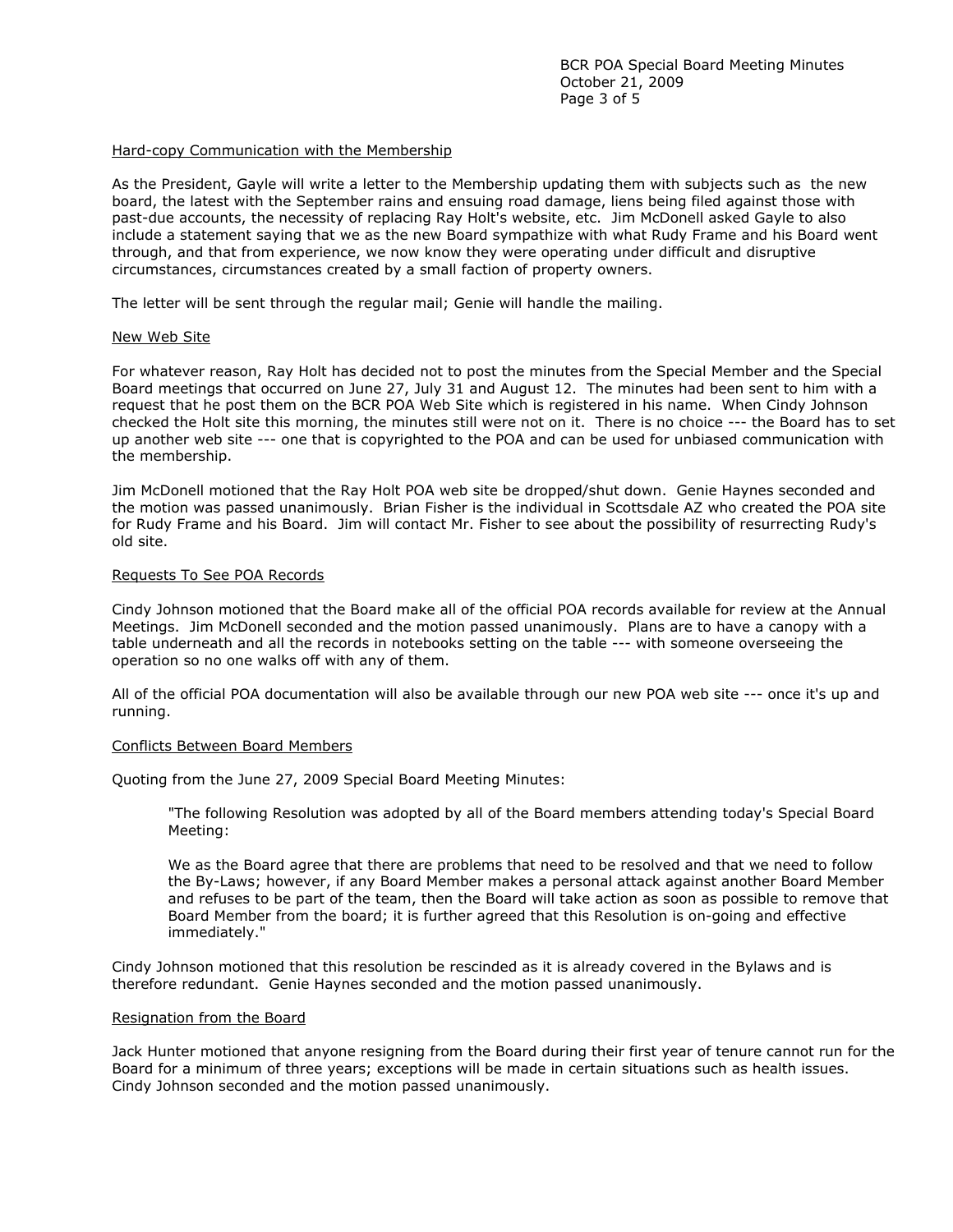# Hard-copy Communication with the Membership

As the President, Gayle will write a letter to the Membership updating them with subjects such as the new board, the latest with the September rains and ensuing road damage, liens being filed against those with past-due accounts, the necessity of replacing Ray Holt's website, etc. Jim McDonell asked Gayle to also include a statement saying that we as the new Board sympathize with what Rudy Frame and his Board went through, and that from experience, we now know they were operating under difficult and disruptive circumstances, circumstances created by a small faction of property owners.

The letter will be sent through the regular mail; Genie will handle the mailing.

### New Web Site

For whatever reason, Ray Holt has decided not to post the minutes from the Special Member and the Special Board meetings that occurred on June 27, July 31 and August 12. The minutes had been sent to him with a request that he post them on the BCR POA Web Site which is registered in his name. When Cindy Johnson checked the Holt site this morning, the minutes still were not on it. There is no choice --- the Board has to set up another web site --- one that is copyrighted to the POA and can be used for unbiased communication with the membership.

Jim McDonell motioned that the Ray Holt POA web site be dropped/shut down. Genie Haynes seconded and the motion was passed unanimously. Brian Fisher is the individual in Scottsdale AZ who created the POA site for Rudy Frame and his Board. Jim will contact Mr. Fisher to see about the possibility of resurrecting Rudy's old site.

### Requests To See POA Records

Cindy Johnson motioned that the Board make all of the official POA records available for review at the Annual Meetings. Jim McDonell seconded and the motion passed unanimously. Plans are to have a canopy with a table underneath and all the records in notebooks setting on the table --- with someone overseeing the operation so no one walks off with any of them.

All of the official POA documentation will also be available through our new POA web site --- once it's up and running.

#### Conflicts Between Board Members

Quoting from the June 27, 2009 Special Board Meeting Minutes:

"The following Resolution was adopted by all of the Board members attending today's Special Board Meeting:

We as the Board agree that there are problems that need to be resolved and that we need to follow the By-Laws; however, if any Board Member makes a personal attack against another Board Member and refuses to be part of the team, then the Board will take action as soon as possible to remove that Board Member from the board; it is further agreed that this Resolution is on-going and effective immediately."

Cindy Johnson motioned that this resolution be rescinded as it is already covered in the Bylaws and is therefore redundant. Genie Haynes seconded and the motion passed unanimously.

#### Resignation from the Board

Jack Hunter motioned that anyone resigning from the Board during their first year of tenure cannot run for the Board for a minimum of three years; exceptions will be made in certain situations such as health issues. Cindy Johnson seconded and the motion passed unanimously.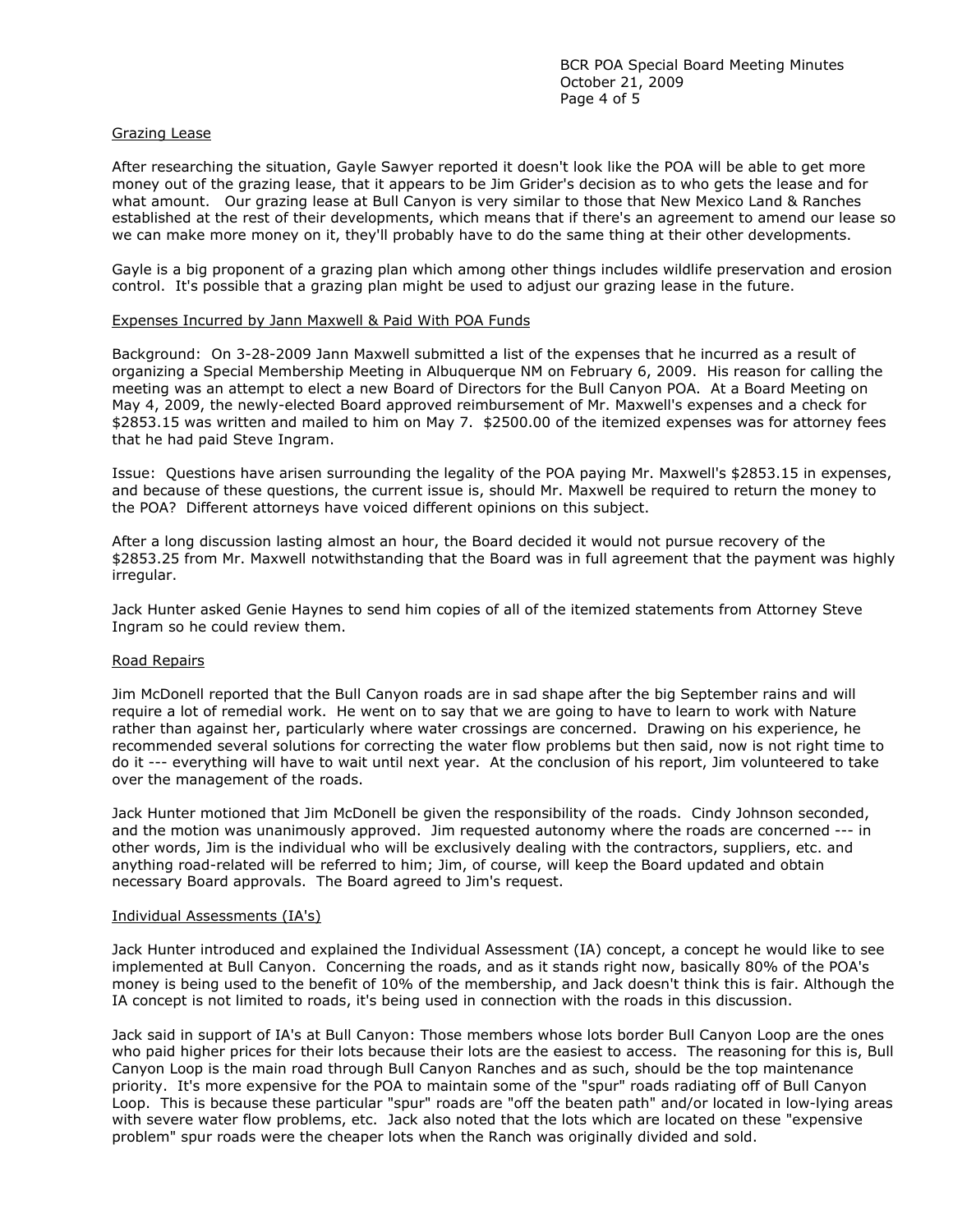# Grazing Lease

After researching the situation, Gayle Sawyer reported it doesn't look like the POA will be able to get more money out of the grazing lease, that it appears to be Jim Grider's decision as to who gets the lease and for what amount. Our grazing lease at Bull Canyon is very similar to those that New Mexico Land & Ranches established at the rest of their developments, which means that if there's an agreement to amend our lease so we can make more money on it, they'll probably have to do the same thing at their other developments.

Gayle is a big proponent of a grazing plan which among other things includes wildlife preservation and erosion control. It's possible that a grazing plan might be used to adjust our grazing lease in the future.

# Expenses Incurred by Jann Maxwell & Paid With POA Funds

Background: On 3-28-2009 Jann Maxwell submitted a list of the expenses that he incurred as a result of organizing a Special Membership Meeting in Albuquerque NM on February 6, 2009. His reason for calling the meeting was an attempt to elect a new Board of Directors for the Bull Canyon POA. At a Board Meeting on May 4, 2009, the newly-elected Board approved reimbursement of Mr. Maxwell's expenses and a check for \$2853.15 was written and mailed to him on May 7. \$2500.00 of the itemized expenses was for attorney fees that he had paid Steve Ingram.

Issue: Questions have arisen surrounding the legality of the POA paying Mr. Maxwell's \$2853.15 in expenses, and because of these questions, the current issue is, should Mr. Maxwell be required to return the money to the POA? Different attorneys have voiced different opinions on this subject.

After a long discussion lasting almost an hour, the Board decided it would not pursue recovery of the \$2853.25 from Mr. Maxwell notwithstanding that the Board was in full agreement that the payment was highly irregular.

Jack Hunter asked Genie Haynes to send him copies of all of the itemized statements from Attorney Steve Ingram so he could review them.

# Road Repairs

Jim McDonell reported that the Bull Canyon roads are in sad shape after the big September rains and will require a lot of remedial work. He went on to say that we are going to have to learn to work with Nature rather than against her, particularly where water crossings are concerned. Drawing on his experience, he recommended several solutions for correcting the water flow problems but then said, now is not right time to do it --- everything will have to wait until next year. At the conclusion of his report, Jim volunteered to take over the management of the roads.

Jack Hunter motioned that Jim McDonell be given the responsibility of the roads. Cindy Johnson seconded, and the motion was unanimously approved. Jim requested autonomy where the roads are concerned --- in other words, Jim is the individual who will be exclusively dealing with the contractors, suppliers, etc. and anything road-related will be referred to him; Jim, of course, will keep the Board updated and obtain necessary Board approvals. The Board agreed to Jim's request.

# Individual Assessments (IA's)

Jack Hunter introduced and explained the Individual Assessment (IA) concept, a concept he would like to see implemented at Bull Canyon. Concerning the roads, and as it stands right now, basically 80% of the POA's money is being used to the benefit of 10% of the membership, and Jack doesn't think this is fair. Although the IA concept is not limited to roads, it's being used in connection with the roads in this discussion.

Jack said in support of IA's at Bull Canyon: Those members whose lots border Bull Canyon Loop are the ones who paid higher prices for their lots because their lots are the easiest to access. The reasoning for this is, Bull Canyon Loop is the main road through Bull Canyon Ranches and as such, should be the top maintenance priority. It's more expensive for the POA to maintain some of the "spur" roads radiating off of Bull Canyon Loop. This is because these particular "spur" roads are "off the beaten path" and/or located in low-lying areas with severe water flow problems, etc. Jack also noted that the lots which are located on these "expensive problem" spur roads were the cheaper lots when the Ranch was originally divided and sold.